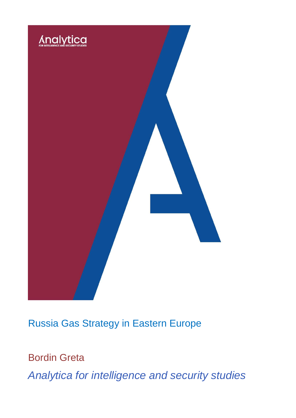

Russia Gas Strategy in Eastern Europe

Bordin Greta

*Analytica for intelligence and security studies*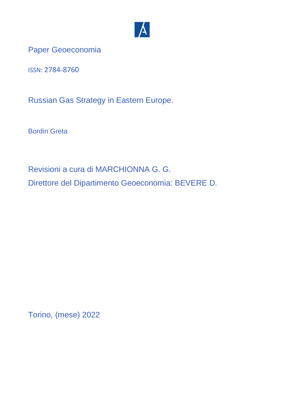

Paper Geoeconomia

ISSN: 2784-8760

Russian Gas Strategy in Eastern Europe.

Bordin Greta

Revisioni a cura di MARCHIONNA G. G. Direttore del Dipartimento Geoeconomia: BEVERE D.

Torino, (mese) 2022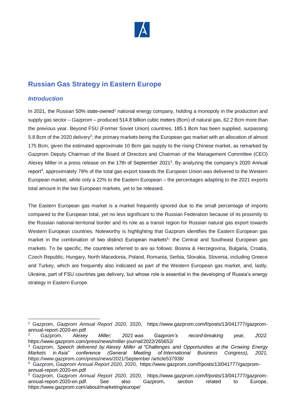

# **Russian Gas Strategy in Eastern Europe**

### *Introduction*

In 2021, the Russian 50% state-owned<sup>1</sup> national energy company, holding a monopoly in the production and supply gas sector – *Gazprom* – produced 514.8 billion cubic meters (Bcm) of natural gas, 62.2 Bcm more than the previous year. Beyond FSU (Former Soviet Union) countries, 185.1 Bcm has been supplied, surpassing 5.8 Bcm of the 2020 delivery<sup>2</sup>; the primary markets being the European gas market with an allocation of almost 175 Bcm, given the estimated approximate 10 Bcm gas supply to the rising Chinese market, as remarked by Gazprom Deputy Chairman of the Board of Directors and Chairman of the Management Committee (CEO) Alexey Miller in a press release on the 17th of September 2021<sup>3</sup>. By analyzing the company's 2020 Annual report<sup>4</sup>, approximately 78% of the total gas export towards the European Union was delivered to the Western European market, while only a 22% to the Eastern European – the percentages adapting to the 2021 exports total amount in the two European markets, yet to be released.

The Eastern European gas market is a market frequently ignored due to the small percentage of imports compared to the European total, yet no less significant to the Russian Federation because of its proximity to the Russian national-territorial border and its role as a transit region for Russian natural gas export towards Western European countries. Noteworthy is highlighting that Gazprom identifies the Eastern European gas market in the combination of two distinct European markets<sup>5</sup>: the Central and Southeast European gas markets. To be specific, the countries referred to are as follows: Bosnia & Herzegovina, Bulgaria, Croatia, Czech Republic, Hungary, North Macedonia, Poland, Romania, Serbia, Slovakia, Slovenia, including Greece and Turkey, which are frequently also indicated as part of the Western European gas market, and, lastly, Ukraine, part of FSU countries gas delivery, but whose role is essential in the developing of Russia's energy strategy in Eastern Europe.

<sup>-</sup><sup>1</sup> Gazprom, *Gazprom Annual Report 2020*, 2020, [https://www.gazprom.com/f/posts/13/041777/gazprom](https://www.gazprom.com/f/posts/13/041777/gazprom-annual-report-2020-en.pdf)[annual-report-2020-en.pdf](https://www.gazprom.com/f/posts/13/041777/gazprom-annual-report-2020-en.pdf)

<sup>2</sup> Gazprom, *Alexey Miller: 2021 was Gazprom's record-breaking year, 2022,*  <https://www.gazprom.com/press/news/miller-journal/2022/265652/>

<sup>3</sup> Gazprom, *Speech delivered by Alexey Miller at "Challenges and Opportunities at the Growing Energy Markets in Asia" conference (General Meeting of International Business Congress), 2021,*  https://www.gazprom.com/press/news/2021/September /article537938/

<sup>4</sup> Gazprom, *Gazprom Annual Report 2020*, 2020, [https://www.gazprom.com/f/posts/13/041777/gazprom](https://www.gazprom.com/f/posts/13/041777/gazprom-annual-report-2020-en.pdf)[annual-report-2020-en.pdf](https://www.gazprom.com/f/posts/13/041777/gazprom-annual-report-2020-en.pdf)

<sup>5</sup> Gazprom, *Gazprom Annual Report 2020*, 2020, [https://www.gazprom.com/f/posts/13/041777/gazprom](https://www.gazprom.com/f/posts/13/041777/gazprom-annual-report-2020-en.pdf)[annual-report-2020-en.pdf.](https://www.gazprom.com/f/posts/13/041777/gazprom-annual-report-2020-en.pdf) See also Gazprom, section related to Europe, https://www.gazprom.com/about/marketing/europe/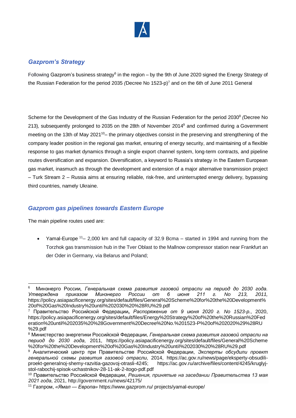

## *Gazprom's Strategy*

Following Gazprom's business strategy<sup>6</sup> in the region – by the 9th of June 2020 signed the Energy Strategy of the Russian Federation for the period 2035 *(*Decree No 1523-p) <sup>7</sup> and on the 6th of June 2011 General

Scheme for the Development of the Gas Industry of the Russian Federation for the period 2030<sup>8</sup> (Decree No 213)*,* subsequently prolonged to 2035 on the 28th of November 2014<sup>9</sup> and confirmed during a Government meeting on the 13th of May 2021<sup>10</sup>– the primary objectives consist in the preserving and strengthening of the company leader position in the regional gas market, ensuring of energy security, and maintaining of a flexible response to gas market dynamics through a single export channel system, long-term contracts, and pipeline routes diversification and expansion. Diversification, a keyword to Russia's strategy in the Eastern European gas market, inasmuch as through the development and extension of a major alternative transmission project – Turk Stream 2 – Russia aims at ensuring reliable, risk-free, and uninterrupted energy delivery, bypassing third countries, namely Ukraine.

#### *Gazprom gas pipelines towards Eastern Europe*

The main pipeline routes used are:

Yamal-Europe <sup>11</sup> – 2,000 km and full capacity of 32.9 Bcma – started in 1994 and running from the Torzhok gas transmission hub in the Tver Oblast to the Mallnow compressor station near Frankfurt an der Oder in Germany, via Belarus and Poland;

<sup>-</sup>6 Минэнерго России*, Генеральная схема развития газовой отрасли на период до 2030 года. Утверждена приказом Минэнерго России от 6 июня 211 г. No 213, 2011,*  https://policy.asiapacificenergy.org/sites/default/files/General%20Scheme%20for%20the%20Development% 20of%20Gas%20Industry%20until%202030%20%28RU%29.pdf

<sup>7</sup> Правительство Российской Федерации**,** *Распоряжение от 9 июня 2020 г. No 1523-р.*, 2020, [https://policy.asiapacificenergy.org/sites/default/files/Energy%20Strategy%20of%20the%20Russian%20Fed](https://policy.asiapacificenergy.org/sites/default/files/Energy%20Strategy%20of%20the%20Russian%20Federation%20until%202035%20%28Government%20Decree%20No.%201523-P%20of%202020%29%28RU%20%29.pdf) [eration%20until%202035%20%28Government%20Decree%20No.%201523-P%20of%202020%29%28RU](https://policy.asiapacificenergy.org/sites/default/files/Energy%20Strategy%20of%20the%20Russian%20Federation%20until%202035%20%28Government%20Decree%20No.%201523-P%20of%202020%29%28RU%20%29.pdf) [%29.pdf](https://policy.asiapacificenergy.org/sites/default/files/Energy%20Strategy%20of%20the%20Russian%20Federation%20until%202035%20%28Government%20Decree%20No.%201523-P%20of%202020%29%28RU%20%29.pdf)

<sup>8</sup> Министерство энергетики Российской Федерации, *Генеральная схема развития газовой отрасли на период до 2030 года*, 2011, https://policy.asiapacificenergy.org/sites/default/files/General%20Scheme %20for%20the%20Development%20of%20Gas%20Industry%20until%202030%20%28RU%29.pdf

<sup>9</sup> Аналитический центр при Правительстве Российской Федерации, *Эксперты обсудили проект генеральной схемы развития газовой отрасли*, 2014, [https://ac.gov.ru/news/page/eksperty-obsudili](https://ac.gov.ru/news/page/eksperty-obsudili-proekt-generalnoj-shemy-razvitia-gazovoj-otrasli-4245)[proekt-generalnoj-shemy-razvitia-gazovoj-otrasli-4245;](https://ac.gov.ru/news/page/eksperty-obsudili-proekt-generalnoj-shemy-razvitia-gazovoj-otrasli-4245) https://ac.gov.ru/archive/files/content/4245/kruglyjstol-rabochij-spisok-uchastnikov-28-11-ak-2-itogo-pdf.pdf

<sup>10</sup> Правительство Российской Федерации, *Решения, принятые на заседании Правительства 13 мая 2021 года*, 2021, http://government.ru/news/42175/

<sup>11</sup> Газпром, *«Ямал — Европа»* [https://www.gazprom.ru/](https://web.archive.org/web/20220107072229/https:/www.gazprom.ru/) projects/yamal-europe/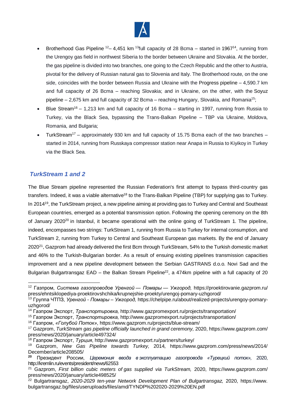

- Brotherhood Gas Pipeline  $12 4.451$  km  $13$ full capacity of 28 Bcma started in 1967<sup>14</sup>, running from the Urengoy gas field in northwest Siberia to the border between Ukraine and Slovakia. At the border, the gas pipeline is divided into two branches, one going to the Czech Republic and the other to Austria, pivotal for the delivery of Russian natural gas to Slovenia and Italy. The Brotherhood route, on the one side, coincides with the border between Russia and Ukraine with the Progress pipeline – 4,590.7 km and full capacity of 26 Bcma – reaching Slovakia; and in Ukraine, on the other, with the Soyuz pipeline  $-2,675$  km and full capacity of 32 Bcma – reaching Hungary, Slovakia, and Romania<sup>15</sup>;
- Blue Stream<sup>16</sup> 1,213 km and full capacity of 16 Bcma starting in 1997, running from Russia to Turkey, via the Black Sea, bypassing the Trans-Balkan Pipeline – TBP via Ukraine, Moldova, Romania, and Bulgaria;
- TurkStream<sup>17</sup> approximately 930 km and full capacity of 15.75 Bcma each of the two branches started in 2014, running from Russkaya compressor station near Anapa in Russia to Kiyikoy in Turkey via the Black Sea.

#### *TurkStream 1 and 2*

The Blue Stream pipeline represented the Russian Federation's first attempt to bypass third-country gas transfers. Indeed, it was a viable alternative<sup>18</sup> to the Trans-Balkan Pipeline (TBP) for supplying gas to Turkey. In 2014<sup>19</sup>, the TurkStream project, a new pipeline aiming at providing gas to Turkey and Central and Southeast European countries, emerged as a potential transmission option. Following the opening ceremony on the 8th of January 2020<sup>20</sup> in Istanbul, it became operational with the online going of TurkStream 1. The pipeline, indeed, encompasses two strings: TurkStream 1, running from Russia to Turkey for internal consumption, and TurkStream 2, running from Turkey to Central and Southeast European gas markets. By the end of January 2020<sup>21</sup>, Gazprom had already delivered the first Bcm through TurkStream, 54% to the Turkish domestic market and 46% to the Turkish-Bulgarian border. As a result of ensuing existing pipelines transmission capacities improvement and a new pipeline development between the Serbian GASTRANS d.o.o. Novi Sad and the Bulgarian Bulgartransgaz EAD - the Balkan Stream Pipeline<sup>22</sup>, a 474km pipeline with a full capacity of 20

- <sup>15</sup> Газпром Экспорт, *Транспортировка,* http://www.gazpromexport.ru/projects/transportation/
- <sup>16</sup> Газпром, *«Голубой Поток»*, https://www.gazprom.ru/projects/blue-stream/
- <sup>17</sup> Gazprom, *TurkStream gas pipeline officially launched in grand ceremony,* 2020, https://www.gazprom.com/ press/news/2020/january/article497324/

<sup>-</sup><sup>12</sup> Газпром, *Система газопроводов Уренгой — Помары — Ужгород,* https://proektirovanie.gazprom.ru/ press/ehntsiklopediya-proektirovshchika/krupnejshie-proekty/urengoj-pomary-uzhgorod/

<sup>13</sup> Группа ЧТПЗ, *Уренгой - Помары – Ужгород,* https://chelpipe.ru/about/realized-projects/urengoy-pomaryuzhgorod/

<sup>14</sup> Газпром Экспорт, *Транспортировка,* http://www.gazpromexport.ru/projects/transportation/

<sup>18</sup> Газпром Экспорт, *Турция*, http://www.gazpromexport.ru/partners/turkey/

<sup>19</sup> Gazprom, *New Gas Pipeline towards Turkey,* 2014*,* https://www.gazprom.com/press/news/2014/ December/article208505/

**<sup>20</sup>** Президент России, *Церемония ввода в эксплуатацию газопровода «Турецкий поток»,* 2020, <http://kremlin.ru/events/president/news/62553>

<sup>21</sup> Gazprom, *First billion cubic meters of gas supplied via TurkStream,* 2020, <https://www.gazprom.com/> press/news/2020/january/article498525/

<sup>22</sup> Bulgartransgaz, *2020-2029 ten-year Network Development Plan of Bulgartransgaz,* 2020, https://www. bulgartransgaz.bg/files/useruploads/files/amd/TYNDP%202020-2029%20EN.pdf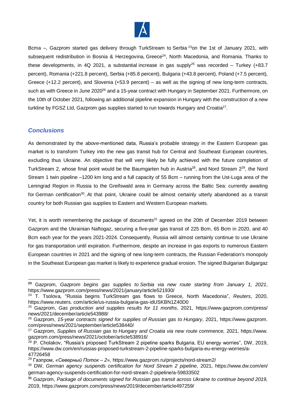

Bcma –, Gazprom started gas delivery through TurkStream to Serbia <sup>23</sup>on the 1st of January 2021, with subsequent redistribution in Bosnia & Herzegovina, Greece<sup>24</sup>, North Macedonia, and Romania. Thanks to these developments, in 4Q 2021, a substantial increase in gas supply<sup>25</sup> was recorded – Turkey (+83.7) percent), Romania (+221.8 percent), Serbia (+85.8 percent), Bulgaria (+43.8 percent), Poland (+7.5 percent), Greece (+12.2 percent), and Slovenia (+53.9 percent) – as well as the signing of new long-term contracts, such as with Greece in June 2020<sup>26</sup> and a 15-year contract with Hungary in September 2021. Furthermore, on the 10th of October 2021, following an additional pipeline expansion in Hungary with the construction of a new turkline by FGSZ Ltd, Gazprom gas supplies started to run towards Hungary and Croatia<sup>27</sup>.

#### *Conclusions*

As demonstrated by the above-mentioned data, Russia's probable strategy in the Eastern European gas market is to transform Turkey into the new gas transit hub for Central and Southeast European countries, excluding thus Ukraine. An objective that will very likely be fully achieved with the future completion of TurkStream 2, whose final point would be the Baumgarten hub in Austria<sup>28</sup>, and Nord Stream 2<sup>29</sup>, the Nord Stream 1 twin pipeline –1200 km long and a full capacity of 55 Bcm – running from the Ust-Luga area of the Leningrad Region in Russia to the Greifswald area in Germany across the Baltic Sea: currently awaiting for German certification<sup>30</sup>. At that point, Ukraine could be almost certainly utterly abandoned as a transit country for both Russian gas supplies to Eastern and Western European markets.

Yet, it is worth remembering the package of documents<sup>31</sup> agreed on the 20th of December 2019 between Gazprom and the Ukrainian Naftogaz, securing a five-year gas transit of 225 Bcm, 65 Bcm in 2020, and 40 Bcm each year for the years 2021-2024. Consequently, Russia will almost certainly continue to use Ukraine for gas transportation until expiration. Furthermore, despite an increase in gas exports to numerous Eastern European countries in 2021 and the signing of new long-term contracts, the Russian Federation's monopoly in the Southeast European gas market is likely to experience gradual erosion. The signed Bulgarian Bulgargaz

<sup>-</sup>**<sup>23</sup>** Gazprom, *Gazprom begins gas supplies to Serbia via new route starting from January 1, 2021*, https://www.gazprom.com/press/news/2021/january/article521930/

<sup>24</sup> T. Tsolova, "Russia begins TurkStream gas flows to Greece, North Macedonia", *Reuters*, 2020, https://www.reuters. com/article/us-russia-bulgaria-gas-idUSKBN1Z40D0

<sup>25</sup> Gazprom, *Gas production and supplies results for 11 months*, 2021, https://www.gazprom.com/press/ news/2021/december/article543988/

<sup>26</sup> Gazprom, *15-year contracts signed for supplies of Russian gas to Hungary*, 2021, https://www.gazprom. com/press/news/2021/september/article538440/

<sup>27</sup> Gazprom, *Supplies of Russian gas to Hungary and Croatia via new route commence,* 2021, https://www. gazprom.com/press/news/2021/october/article538916/

<sup>28</sup> P. Cholakov, "Russia's proposed TurkStream 2 pipeline sparks Bulgaria, EU energy worries", DW, 2019, https://www.dw.com/en/russias-proposed-turkstream-2-pipeline-sparks-bulgaria-eu-energy-worries/a-47726458

<sup>29</sup> Газпром, *«Северный Поток – 2»,* https://www.gazprom.ru/projects/nord-stream2/

<sup>30</sup> DW, *German agency suspends certification for Nord Stream 2 pipeline*, 2021,<https://www.dw.com/en/> german-agency-suspends-certification-for-nord-stream-2-pipeline/a-59833502

**<sup>31</sup>** Gazprom, *Package of documents signed for Russian gas transit across Ukraine to continue beyond 2019,*  2019, https://www.gazprom.com/press/news/2019/december/article497259/